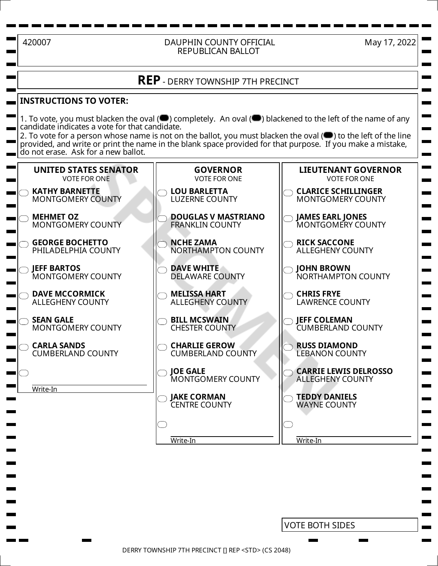## 420007 DAUPHIN COUNTY OFFICIAL REPUBLICAN BALLOT

May 17, 2022

## **REP** - DERRY TOWNSHIP 7TH PRECINCT

## **INSTRUCTIONS TO VOTER:**

1. To vote, you must blacken the oval (<sup>1</sup>) completely. An oval (<sup>2</sup>) blackened to the left of the name of any candidate indicates a vote for that candidate.

2. To vote for a person whose name is not on the ballot, you must blacken the oval  $(\bullet)$  to the left of the line provided, and write or print the name in the blank space provided for that purpose. If you make a mistake, do not erase. Ask for a new ballot.